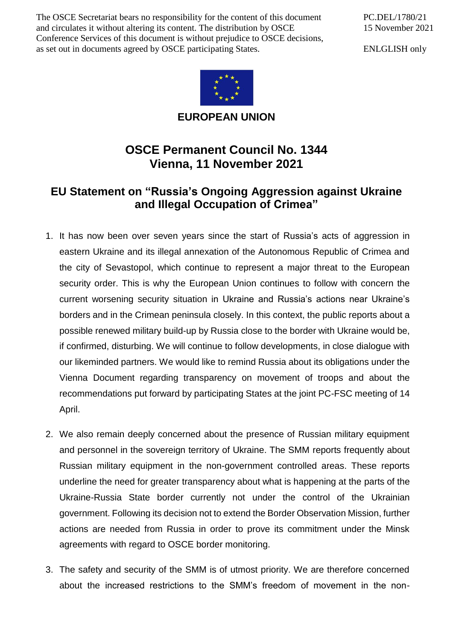The OSCE Secretariat bears no responsibility for the content of this document and circulates it without altering its content. The distribution by OSCE Conference Services of this document is without prejudice to OSCE decisions, as set out in documents agreed by OSCE participating States.

PC.DEL/1780/21 15 November 2021

ENLGLISH only



**EUROPEAN UNION**

## **OSCE Permanent Council No. 1344 Vienna, 11 November 2021**

## **EU Statement on "Russia's Ongoing Aggression against Ukraine and Illegal Occupation of Crimea"**

- 1. It has now been over seven years since the start of Russia's acts of aggression in eastern Ukraine and its illegal annexation of the Autonomous Republic of Crimea and the city of Sevastopol, which continue to represent a major threat to the European security order. This is why the European Union continues to follow with concern the current worsening security situation in Ukraine and Russia's actions near Ukraine's borders and in the Crimean peninsula closely. In this context, the public reports about a possible renewed military build-up by Russia close to the border with Ukraine would be, if confirmed, disturbing. We will continue to follow developments, in close dialogue with our likeminded partners. We would like to remind Russia about its obligations under the Vienna Document regarding transparency on movement of troops and about the recommendations put forward by participating States at the joint PC-FSC meeting of 14 April.
- 2. We also remain deeply concerned about the presence of Russian military equipment and personnel in the sovereign territory of Ukraine. The SMM reports frequently about Russian military equipment in the non-government controlled areas. These reports underline the need for greater transparency about what is happening at the parts of the Ukraine-Russia State border currently not under the control of the Ukrainian government. Following its decision not to extend the Border Observation Mission, further actions are needed from Russia in order to prove its commitment under the Minsk agreements with regard to OSCE border monitoring.
- 3. The safety and security of the SMM is of utmost priority. We are therefore concerned about the increased restrictions to the SMM's freedom of movement in the non-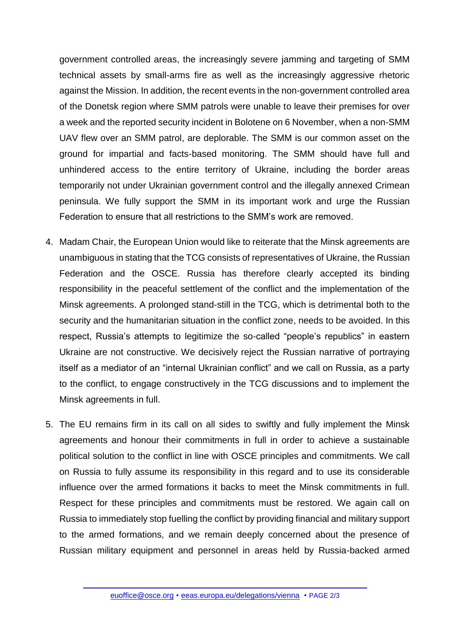government controlled areas, the increasingly severe jamming and targeting of SMM technical assets by small-arms fire as well as the increasingly aggressive rhetoric against the Mission. In addition, the recent events in the non-government controlled area of the Donetsk region where SMM patrols were unable to leave their premises for over a week and the reported security incident in Bolotene on 6 November, when a non-SMM UAV flew over an SMM patrol, are deplorable. The SMM is our common asset on the ground for impartial and facts-based monitoring. The SMM should have full and unhindered access to the entire territory of Ukraine, including the border areas temporarily not under Ukrainian government control and the illegally annexed Crimean peninsula. We fully support the SMM in its important work and urge the Russian Federation to ensure that all restrictions to the SMM's work are removed.

- 4. Madam Chair, the European Union would like to reiterate that the Minsk agreements are unambiguous in stating that the TCG consists of representatives of Ukraine, the Russian Federation and the OSCE. Russia has therefore clearly accepted its binding responsibility in the peaceful settlement of the conflict and the implementation of the Minsk agreements. A prolonged stand-still in the TCG, which is detrimental both to the security and the humanitarian situation in the conflict zone, needs to be avoided. In this respect, Russia's attempts to legitimize the so-called "people's republics" in eastern Ukraine are not constructive. We decisively reject the Russian narrative of portraying itself as a mediator of an "internal Ukrainian conflict" and we call on Russia, as a party to the conflict, to engage constructively in the TCG discussions and to implement the Minsk agreements in full.
- 5. The EU remains firm in its call on all sides to swiftly and fully implement the Minsk agreements and honour their commitments in full in order to achieve a sustainable political solution to the conflict in line with OSCE principles and commitments. We call on Russia to fully assume its responsibility in this regard and to use its considerable influence over the armed formations it backs to meet the Minsk commitments in full. Respect for these principles and commitments must be restored. We again call on Russia to immediately stop fuelling the conflict by providing financial and military support to the armed formations, and we remain deeply concerned about the presence of Russian military equipment and personnel in areas held by Russia-backed armed